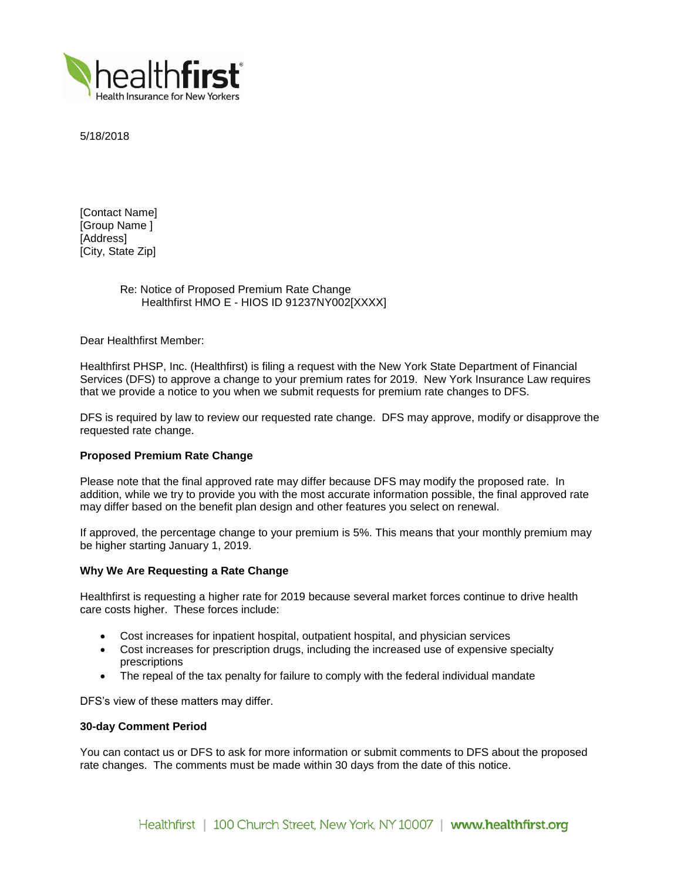

5/18/2018

[Contact Name] [Group Name ] [Address] [City, State Zip]

# Re: Notice of Proposed Premium Rate Change Healthfirst HMO E - HIOS ID 91237NY002[XXXX]

Dear Healthfirst Member:

Healthfirst PHSP, Inc. (Healthfirst) is filing a request with the New York State Department of Financial Services (DFS) to approve a change to your premium rates for 2019. New York Insurance Law requires that we provide a notice to you when we submit requests for premium rate changes to DFS.

DFS is required by law to review our requested rate change. DFS may approve, modify or disapprove the requested rate change.

# **Proposed Premium Rate Change**

Please note that the final approved rate may differ because DFS may modify the proposed rate. In addition, while we try to provide you with the most accurate information possible, the final approved rate may differ based on the benefit plan design and other features you select on renewal.

If approved, the percentage change to your premium is 5%. This means that your monthly premium may be higher starting January 1, 2019.

## **Why We Are Requesting a Rate Change**

Healthfirst is requesting a higher rate for 2019 because several market forces continue to drive health care costs higher. These forces include:

- Cost increases for inpatient hospital, outpatient hospital, and physician services
- Cost increases for prescription drugs, including the increased use of expensive specialty prescriptions
- The repeal of the tax penalty for failure to comply with the federal individual mandate

DFS's view of these matters may differ.

## **30-day Comment Period**

You can contact us or DFS to ask for more information or submit comments to DFS about the proposed rate changes. The comments must be made within 30 days from the date of this notice.